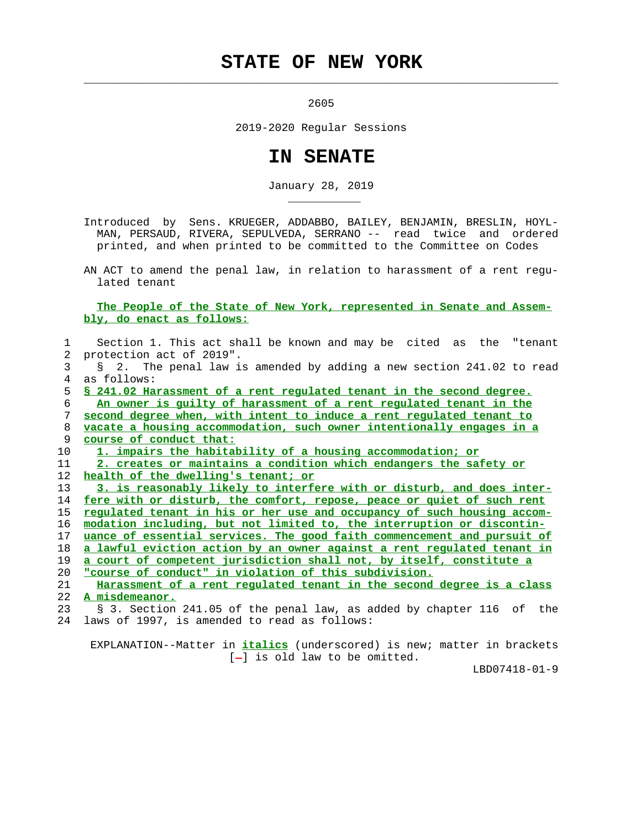## **STATE OF NEW YORK**

<u>2605</u>

 $\mathcal{L}_\text{max} = \frac{1}{2} \sum_{i=1}^{n} \frac{1}{2} \sum_{i=1}^{n} \frac{1}{2} \sum_{i=1}^{n} \frac{1}{2} \sum_{i=1}^{n} \frac{1}{2} \sum_{i=1}^{n} \frac{1}{2} \sum_{i=1}^{n} \frac{1}{2} \sum_{i=1}^{n} \frac{1}{2} \sum_{i=1}^{n} \frac{1}{2} \sum_{i=1}^{n} \frac{1}{2} \sum_{i=1}^{n} \frac{1}{2} \sum_{i=1}^{n} \frac{1}{2} \sum_{i=1}^{n} \frac{1$ 

\_\_\_\_\_\_\_\_\_\_\_

2019-2020 Regular Sessions

## **IN SENATE**

January 28, 2019

 Introduced by Sens. KRUEGER, ADDABBO, BAILEY, BENJAMIN, BRESLIN, HOYL- MAN, PERSAUD, RIVERA, SEPULVEDA, SERRANO -- read twice and ordered printed, and when printed to be committed to the Committee on Codes

 AN ACT to amend the penal law, in relation to harassment of a rent regu lated tenant

## **The People of the State of New York, represented in Senate and Assem bly, do enact as follows:**

| $\mathbf{1}$    | Section 1. This act shall be known and may be cited as the "tenant      |
|-----------------|-------------------------------------------------------------------------|
|                 | 2 protection act of 2019".                                              |
| 3               | § 2. The penal law is amended by adding a new section 241.02 to read    |
| 4               | as follows:                                                             |
| 5.              | \$ 241.02 Harassment of a rent regulated tenant in the second degree.   |
| 6               | An owner is quilty of harassment of a rent requlated tenant in the      |
| 7               | second degree when, with intent to induce a rent regulated tenant to    |
| 8               | vacate a housing accommodation, such owner intentionally engages in a   |
| 9               | course of conduct that:                                                 |
| 10 <sup>°</sup> | 1. impairs the habitability of a housing accommodation; or              |
| 11              | 2. creates or maintains a condition which endangers the safety or       |
| 12              | health of the dwelling's tenant; or                                     |
| 13              | 3. is reasonably likely to interfere with or disturb, and does inter-   |
| 14              | fere with or disturb, the comfort, repose, peace or quiet of such rent  |
| 15              | requlated tenant in his or her use and occupancy of such housing accom- |
| 16              | modation including, but not limited to, the interruption or discontin-  |
| 17              | uance of essential services. The good faith commencement and pursuit of |
| 18              | a lawful eviction action by an owner against a rent regulated tenant in |
| 19              | a court of competent jurisdiction shall not, by itself, constitute a    |
| 20              | "course of conduct" in violation of this subdivision.                   |
| 21              | Harassment of a rent requlated tenant in the second degree is a class   |
| 22              | A misdemeanor.                                                          |
| 23              | § 3. Section 241.05 of the penal law, as added by chapter 116 of the    |
| 24              | laws of 1997, is amended to read as follows:                            |
|                 |                                                                         |

 EXPLANATION--Matter in **italics** (underscored) is new; matter in brackets [-] is old law to be omitted.

LBD07418-01-9